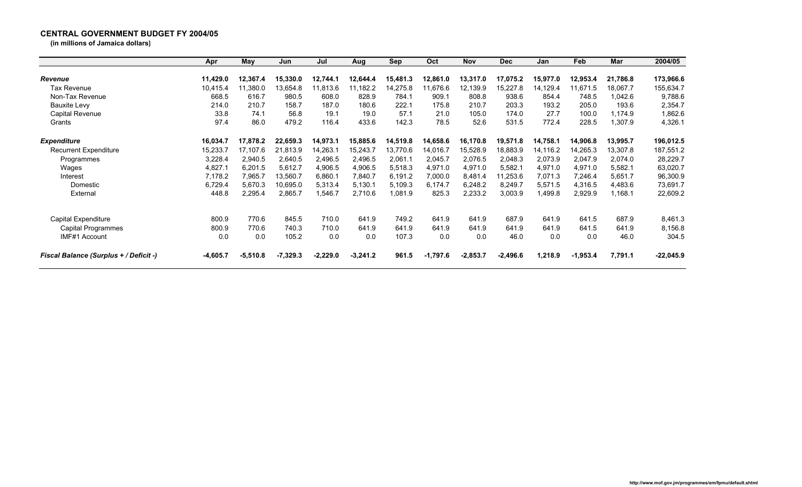## **CENTRAL GOVERNMENT BUDGET FY 2004/05**

**(in millions of Jamaica dollars)**

|                                        | Apr        | <b>May</b> | Jun        | Jul        | Aug        | Sep      | Oct        | <b>Nov</b> | <b>Dec</b> | Jan      | Feb        | Mar      | 2004/05     |
|----------------------------------------|------------|------------|------------|------------|------------|----------|------------|------------|------------|----------|------------|----------|-------------|
| Revenue                                | 11,429.0   | 12,367.4   | 15,330.0   | 12,744.1   | 12,644.4   | 15,481.3 | 12,861.0   | 13,317.0   | 17,075.2   | 15,977.0 | 12,953.4   | 21,786.8 | 173,966.6   |
| Tax Revenue                            | 10,415.4   | 11,380.0   | 13,654.8   | 11,813.6   | 11,182.2   | 14,275.8 | 11,676.6   | 12,139.9   | 15,227.8   | 14,129.4 | 11,671.5   | 18,067.7 | 155,634.7   |
| Non-Tax Revenue                        | 668.5      | 616.7      | 980.5      | 608.0      | 828.9      | 784.1    | 909.1      | 808.8      | 938.6      | 854.4    | 748.5      | 1,042.6  | 9,788.6     |
| Bauxite Levy                           | 214.0      | 210.7      | 158.7      | 187.0      | 180.6      | 222.1    | 175.8      | 210.7      | 203.3      | 193.2    | 205.0      | 193.6    | 2,354.7     |
| Capital Revenue                        | 33.8       | 74.1       | 56.8       | 19.1       | 19.0       | 57.1     | 21.0       | 105.0      | 174.0      | 27.7     | 100.0      | 1,174.9  | 1,862.6     |
| Grants                                 | 97.4       | 86.0       | 479.2      | 116.4      | 433.6      | 142.3    | 78.5       | 52.6       | 531.5      | 772.4    | 228.5      | 1,307.9  | 4,326.1     |
| <b>Expenditure</b>                     | 16,034.7   | 17,878.2   | 22,659.3   | 14,973.1   | 15,885.6   | 14,519.8 | 14,658.6   | 16,170.8   | 19,571.8   | 14,758.1 | 14,906.8   | 13,995.7 | 196,012.5   |
| <b>Recurrent Expenditure</b>           | 15,233.7   | 17,107.6   | 21,813.9   | 14,263.1   | 15,243.7   | 13,770.6 | 14,016.7   | 15,528.9   | 18,883.9   | 14,116.2 | 14,265.3   | 13,307.8 | 187,551.2   |
| Programmes                             | 3,228.4    | 2,940.5    | 2,640.5    | 2,496.5    | 2,496.5    | 2,061.1  | 2,045.7    | 2,076.5    | 2,048.3    | 2,073.9  | 2,047.9    | 2,074.0  | 28,229.7    |
| Wages                                  | 4,827.1    | 6,201.5    | 5,612.7    | 4,906.5    | 4,906.5    | 5,518.3  | 4,971.0    | 4,971.0    | 5,582.1    | 4,971.0  | 4,971.0    | 5,582.1  | 63,020.7    |
| Interest                               | 7,178.2    | 7,965.7    | 13,560.7   | 6,860.1    | 7,840.7    | 6,191.2  | 7,000.0    | 8,481.4    | 11,253.6   | 7,071.3  | 7,246.4    | 5,651.7  | 96,300.9    |
| Domestic                               | 6,729.4    | 5,670.3    | 10,695.0   | 5,313.4    | 5,130.1    | 5,109.3  | 6,174.7    | 6,248.2    | 8,249.7    | 5,571.5  | 4,316.5    | 4,483.6  | 73,691.7    |
| External                               | 448.8      | 2,295.4    | 2,865.7    | 1,546.7    | 2,710.6    | 1,081.9  | 825.3      | 2,233.2    | 3,003.9    | 1,499.8  | 2,929.9    | 1,168.1  | 22,609.2    |
| Capital Expenditure                    | 800.9      | 770.6      | 845.5      | 710.0      | 641.9      | 749.2    | 641.9      | 641.9      | 687.9      | 641.9    | 641.5      | 687.9    | 8,461.3     |
| Capital Programmes                     | 800.9      | 770.6      | 740.3      | 710.0      | 641.9      | 641.9    | 641.9      | 641.9      | 641.9      | 641.9    | 641.5      | 641.9    | 8,156.8     |
| IMF#1 Account                          | 0.0        | 0.0        | 105.2      | 0.0        | 0.0        | 107.3    | 0.0        | 0.0        | 46.0       | 0.0      | 0.0        | 46.0     | 304.5       |
| Fiscal Balance (Surplus + / Deficit -) | $-4,605.7$ | $-5,510.8$ | $-7,329.3$ | $-2,229.0$ | $-3,241.2$ | 961.5    | $-1,797.6$ | $-2,853.7$ | $-2,496.6$ | 1,218.9  | $-1,953.4$ | 7,791.1  | $-22,045.9$ |